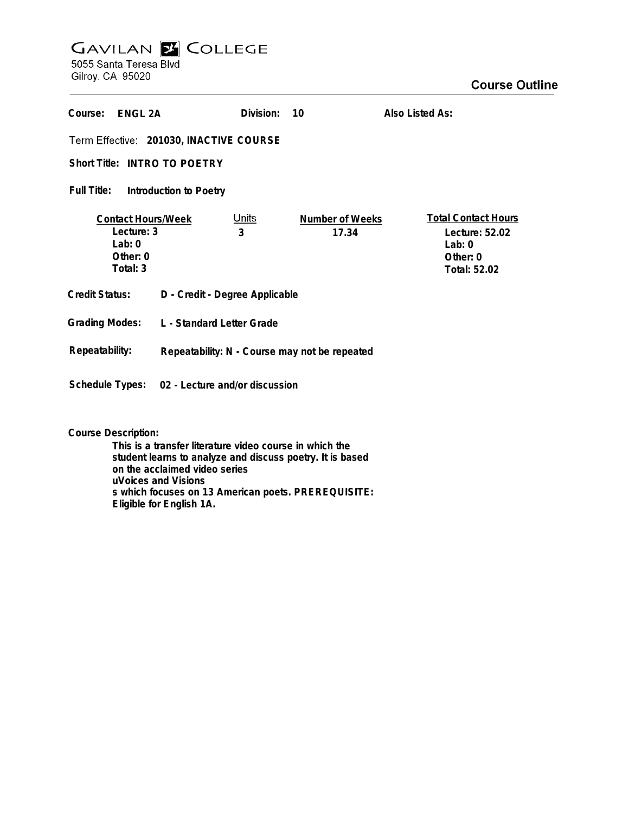## **GAVILAN Z COLLEGE** 5055 Santa Teresa Blvd

Gilroy, CA 95020

| Course:<br>FNGI 2A                                                        |                                                | Division:         | 10                       | Also Listed As:                                                                      |
|---------------------------------------------------------------------------|------------------------------------------------|-------------------|--------------------------|--------------------------------------------------------------------------------------|
| Term Effective: 201030, INACTIVE COURSE                                   |                                                |                   |                          |                                                                                      |
| Short Title: INTRO TO POETRY                                              |                                                |                   |                          |                                                                                      |
| Full Title:<br>Introduction to Poetry                                     |                                                |                   |                          |                                                                                      |
| <b>Contact Hours/Week</b><br>Lecture: 3<br>Lab: 0<br>Other: 0<br>Total: 3 |                                                | <u>Units</u><br>3 | Number of Weeks<br>17.34 | <b>Total Contact Hours</b><br>Lecture: 52.02<br>Lab: $0$<br>Other: 0<br>Total: 52.02 |
| <b>Credit Status:</b>                                                     | D - Credit - Degree Applicable                 |                   |                          |                                                                                      |
| <b>Grading Modes:</b>                                                     | L - Standard Letter Grade                      |                   |                          |                                                                                      |
| Repeatability:                                                            | Repeatability: N - Course may not be repeated  |                   |                          |                                                                                      |
|                                                                           | Schedule Types: 02 - Lecture and/or discussion |                   |                          |                                                                                      |

**Course Description:**

**This is a transfer literature video course in which the student learns to analyze and discuss poetry. It is based on the acclaimed video series uVoices and Visions s which focuses on 13 American poets. PREREQUISITE: Eligible for English 1A.**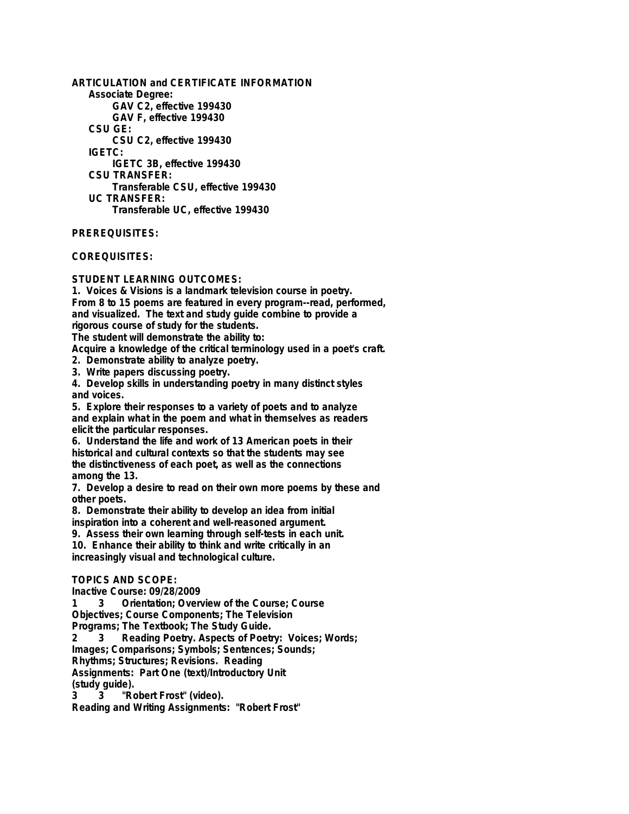**ARTICULATION and CERTIFICATE INFORMATION Associate Degree: GAV C2, effective 199430 GAV F, effective 199430 CSU GE: CSU C2, effective 199430 IGETC: IGETC 3B, effective 199430 CSU TRANSFER: Transferable CSU, effective 199430 UC TRANSFER: Transferable UC, effective 199430**

**PREREQUISITES:**

**COREQUISITES:**

**STUDENT LEARNING OUTCOMES:**

**1. Voices & Visions is a landmark television course in poetry. From 8 to 15 poems are featured in every program--read, performed, and visualized. The text and study guide combine to provide a rigorous course of study for the students.**

**The student will demonstrate the ability to:**

**Acquire a knowledge of the critical terminology used in a poet's craft.**

**2. Demonstrate ability to analyze poetry.**

**3. Write papers discussing poetry.**

**4. Develop skills in understanding poetry in many distinct styles and voices.**

**5. Explore their responses to a variety of poets and to analyze and explain what in the poem and what in themselves as readers elicit the particular responses.**

**6. Understand the life and work of 13 American poets in their historical and cultural contexts so that the students may see the distinctiveness of each poet, as well as the connections among the 13.**

**7. Develop a desire to read on their own more poems by these and other poets.**

**8. Demonstrate their ability to develop an idea from initial inspiration into a coherent and well-reasoned argument.**

**9. Assess their own learning through self-tests in each unit.**

**10. Enhance their ability to think and write critically in an**

**increasingly visual and technological culture.**

## **TOPICS AND SCOPE:**

**Inactive Course: 09/28/2009**

**1 3 Orientation; Overview of the Course; Course**

**Objectives; Course Components; The Television**

**Programs; The Textbook; The Study Guide.**

**2 3 Reading Poetry. Aspects of Poetry: Voices; Words;**

**Images; Comparisons; Symbols; Sentences; Sounds;**

**Rhythms; Structures; Revisions. Reading**

**Assignments: Part One (text)/Introductory Unit (study guide).**

**3 3 "Robert Frost" (video).**

**Reading and Writing Assignments: "Robert Frost"**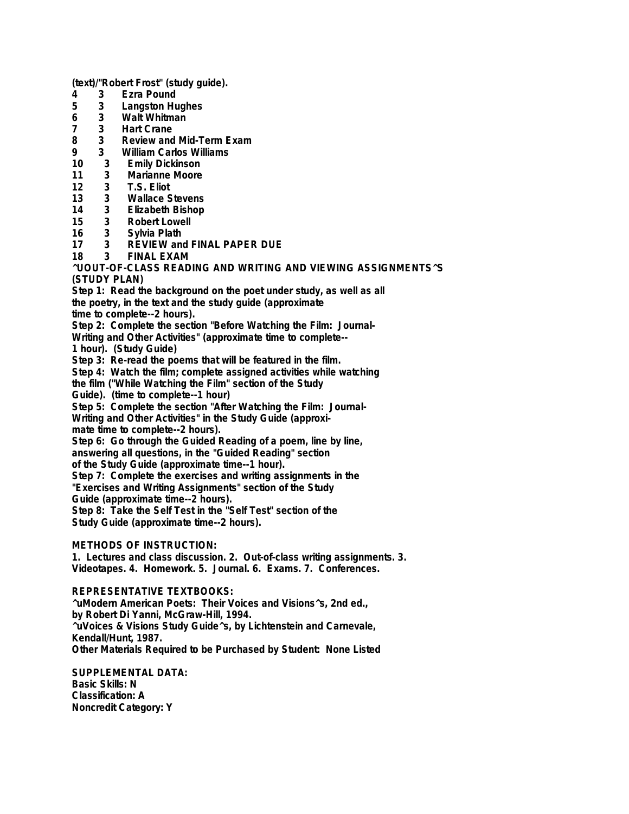**(text)/"Robert Frost" (study guide).**

- **4 3 Ezra Pound**
- **5 3 Langston Hughes**
- **6 3 Walt Whitman**
- **7 3 Hart Crane**
- **8 3 Review and Mid-Term Exam**
- **9 3 William Carlos Williams**
- **10 3 Emily Dickinson**
- **11 3 Marianne Moore**
- **12 3 T.S. Eliot**
- **13 3 Wallace Stevens**
- **14 3 Elizabeth Bishop**
- **15 3 Robert Lowell**
- **16 3 Sylvia Plath**
- **17 3 REVIEW and FINAL PAPER DUE**
- **18 3 FINAL EXAM**

**^UOUT-OF-CLASS READING AND WRITING AND VIEWING ASSIGNMENTS^S (STUDY PLAN)**

**Step 1: Read the background on the poet under study, as well as all**

**the poetry, in the text and the study guide (approximate**

**time to complete--2 hours).**

**Step 2: Complete the section "Before Watching the Film: Journal-**

**Writing and Other Activities" (approximate time to complete--**

**1 hour). (Study Guide)**

**Step 3: Re-read the poems that will be featured in the film.**

**Step 4: Watch the film; complete assigned activities while watching**

**the film ("While Watching the Film" section of the Study**

**Guide). (time to complete--1 hour)**

**Step 5: Complete the section "After Watching the Film: Journal-**

**Writing and Other Activities" in the Study Guide (approxi-**

**mate time to complete--2 hours).**

**Step 6: Go through the Guided Reading of a poem, line by line, answering all questions, in the "Guided Reading" section**

**of the Study Guide (approximate time--1 hour).**

**Step 7: Complete the exercises and writing assignments in the**

**"Exercises and Writing Assignments" section of the Study**

**Guide (approximate time--2 hours).**

**Step 8: Take the Self Test in the "Self Test" section of the Study Guide (approximate time--2 hours).**

**METHODS OF INSTRUCTION:**

**1. Lectures and class discussion. 2. Out-of-class writing assignments. 3. Videotapes. 4. Homework. 5. Journal. 6. Exams. 7. Conferences.**

**REPRESENTATIVE TEXTBOOKS:**

**^uModern American Poets: Their Voices and Visions^s, 2nd ed., by Robert Di Yanni, McGraw-Hill, 1994. ^uVoices & Visions Study Guide^s, by Lichtenstein and Carnevale, Kendall/Hunt, 1987. Other Materials Required to be Purchased by Student: None Listed**

**SUPPLEMENTAL DATA: Basic Skills: N Classification: A Noncredit Category: Y**